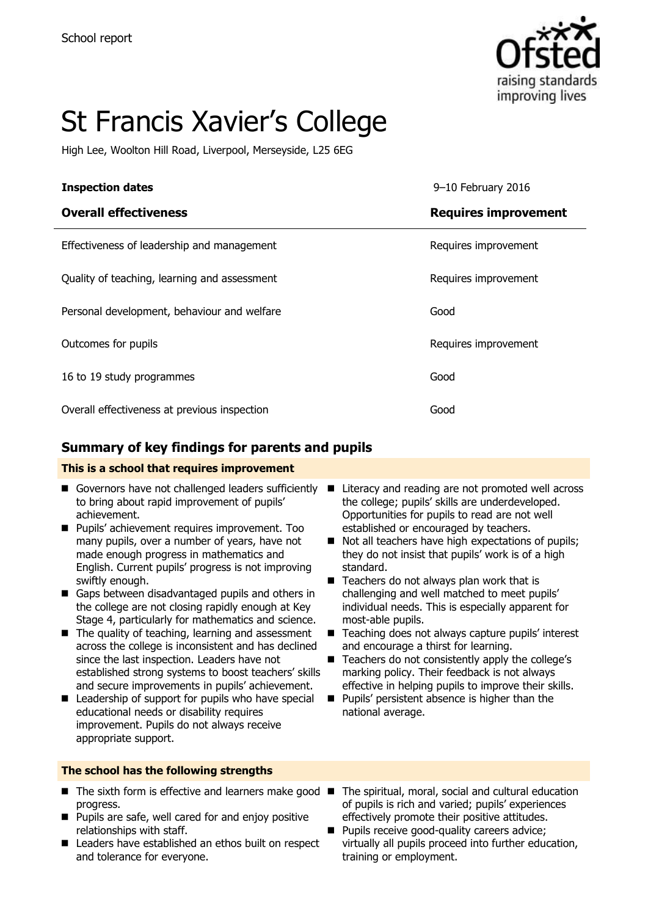

# St Francis Xavier's College

High Lee, Woolton Hill Road, Liverpool, Merseyside, L25 6EG

| <b>Inspection dates</b>                      | 9-10 February 2016          |
|----------------------------------------------|-----------------------------|
| <b>Overall effectiveness</b>                 | <b>Requires improvement</b> |
| Effectiveness of leadership and management   | Requires improvement        |
| Quality of teaching, learning and assessment | Requires improvement        |
| Personal development, behaviour and welfare  | Good                        |
| Outcomes for pupils                          | Requires improvement        |
| 16 to 19 study programmes                    | Good                        |
| Overall effectiveness at previous inspection | Good                        |

### **Summary of key findings for parents and pupils**

#### **This is a school that requires improvement**

- Governors have not challenged leaders sufficiently to bring about rapid improvement of pupils' achievement.
- **Pupils'** achievement requires improvement. Too many pupils, over a number of years, have not made enough progress in mathematics and English. Current pupils' progress is not improving swiftly enough.
- Gaps between disadvantaged pupils and others in the college are not closing rapidly enough at Key Stage 4, particularly for mathematics and science.
- $\blacksquare$  The quality of teaching, learning and assessment across the college is inconsistent and has declined since the last inspection. Leaders have not established strong systems to boost teachers' skills and secure improvements in pupils' achievement.
- $\blacksquare$  Leadership of support for pupils who have special educational needs or disability requires improvement. Pupils do not always receive appropriate support.

#### **The school has the following strengths**

- $\blacksquare$  The sixth form is effective and learners make good  $\blacksquare$ progress.
- **Pupils are safe, well cared for and enjoy positive** relationships with staff.
- Leaders have established an ethos built on respect and tolerance for everyone.
- Literacy and reading are not promoted well across the college; pupils' skills are underdeveloped. Opportunities for pupils to read are not well established or encouraged by teachers.
- Not all teachers have high expectations of pupils; they do not insist that pupils' work is of a high standard.
- $\blacksquare$  Teachers do not always plan work that is challenging and well matched to meet pupils' individual needs. This is especially apparent for most-able pupils.
- Teaching does not always capture pupils' interest and encourage a thirst for learning.
- Teachers do not consistently apply the college's marking policy. Their feedback is not always effective in helping pupils to improve their skills.
- **Pupils' persistent absence is higher than the** national average.
- The spiritual, moral, social and cultural education of pupils is rich and varied; pupils' experiences effectively promote their positive attitudes.
- Pupils receive good-quality careers advice; virtually all pupils proceed into further education, training or employment.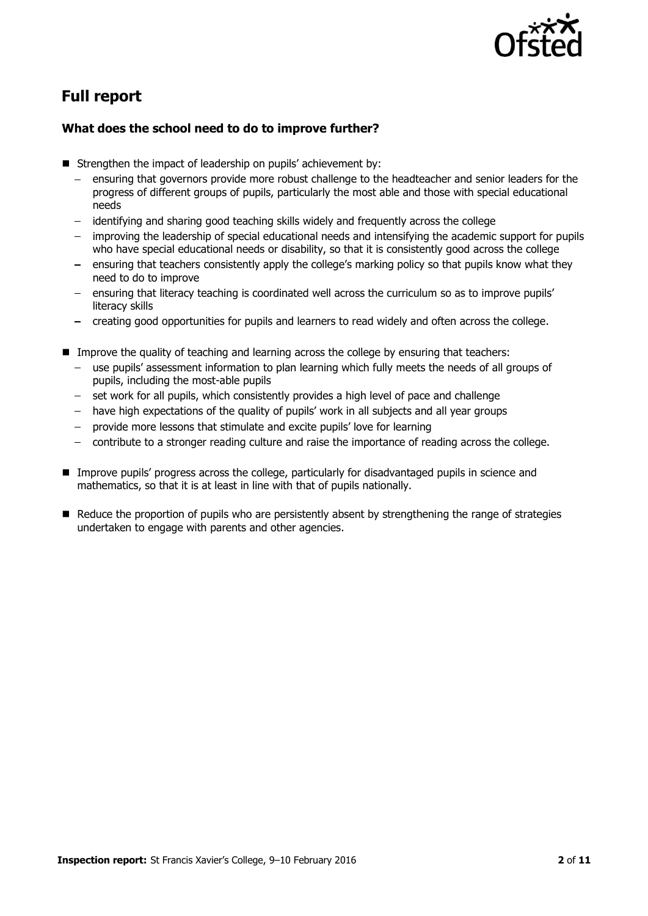

# **Full report**

#### **What does the school need to do to improve further?**

- Strengthen the impact of leadership on pupils' achievement by:
	- ensuring that governors provide more robust challenge to the headteacher and senior leaders for the progress of different groups of pupils, particularly the most able and those with special educational needs
	- identifying and sharing good teaching skills widely and frequently across the college
	- improving the leadership of special educational needs and intensifying the academic support for pupils who have special educational needs or disability, so that it is consistently good across the college
	- ensuring that teachers consistently apply the college's marking policy so that pupils know what they need to do to improve
	- ensuring that literacy teaching is coordinated well across the curriculum so as to improve pupils' literacy skills
	- creating good opportunities for pupils and learners to read widely and often across the college.
- **IMPROVE THE QUALITY OF THE AND THE LEARTER IS COLLEGE AT LACE IS CONTEX** Improve the quality of teachers:
	- use pupils' assessment information to plan learning which fully meets the needs of all groups of pupils, including the most-able pupils
	- set work for all pupils, which consistently provides a high level of pace and challenge
	- have high expectations of the quality of pupils' work in all subjects and all year groups
	- provide more lessons that stimulate and excite pupils' love for learning
	- contribute to a stronger reading culture and raise the importance of reading across the college.  $\frac{1}{2}$
- **Improve pupils' progress across the college, particularly for disadvantaged pupils in science and** mathematics, so that it is at least in line with that of pupils nationally.
- **E** Reduce the proportion of pupils who are persistently absent by strengthening the range of strategies undertaken to engage with parents and other agencies.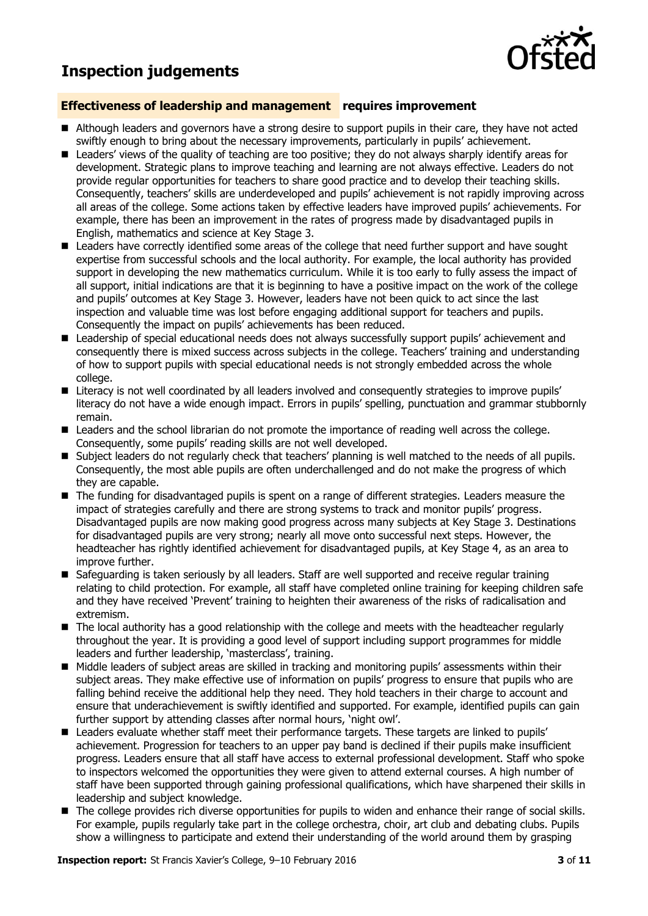## **Inspection judgements**



#### **Effectiveness of leadership and management requires improvement**

- Although leaders and governors have a strong desire to support pupils in their care, they have not acted swiftly enough to bring about the necessary improvements, particularly in pupils' achievement.
- Leaders' views of the quality of teaching are too positive; they do not always sharply identify areas for development. Strategic plans to improve teaching and learning are not always effective. Leaders do not provide regular opportunities for teachers to share good practice and to develop their teaching skills. Consequently, teachers' skills are underdeveloped and pupils' achievement is not rapidly improving across all areas of the college. Some actions taken by effective leaders have improved pupils' achievements. For example, there has been an improvement in the rates of progress made by disadvantaged pupils in English, mathematics and science at Key Stage 3.
- **E** Leaders have correctly identified some areas of the college that need further support and have sought expertise from successful schools and the local authority. For example, the local authority has provided support in developing the new mathematics curriculum. While it is too early to fully assess the impact of all support, initial indications are that it is beginning to have a positive impact on the work of the college and pupils' outcomes at Key Stage 3. However, leaders have not been quick to act since the last inspection and valuable time was lost before engaging additional support for teachers and pupils. Consequently the impact on pupils' achievements has been reduced.
- Leadership of special educational needs does not always successfully support pupils' achievement and consequently there is mixed success across subjects in the college. Teachers' training and understanding of how to support pupils with special educational needs is not strongly embedded across the whole college.
- Literacy is not well coordinated by all leaders involved and consequently strategies to improve pupils' literacy do not have a wide enough impact. Errors in pupils' spelling, punctuation and grammar stubbornly remain.
- Leaders and the school librarian do not promote the importance of reading well across the college. Consequently, some pupils' reading skills are not well developed.
- **Subject leaders do not regularly check that teachers' planning is well matched to the needs of all pupils.** Consequently, the most able pupils are often underchallenged and do not make the progress of which they are capable.
- The funding for disadvantaged pupils is spent on a range of different strategies. Leaders measure the impact of strategies carefully and there are strong systems to track and monitor pupils' progress. Disadvantaged pupils are now making good progress across many subjects at Key Stage 3. Destinations for disadvantaged pupils are very strong; nearly all move onto successful next steps. However, the headteacher has rightly identified achievement for disadvantaged pupils, at Key Stage 4, as an area to improve further.
- Safeguarding is taken seriously by all leaders. Staff are well supported and receive regular training relating to child protection. For example, all staff have completed online training for keeping children safe and they have received 'Prevent' training to heighten their awareness of the risks of radicalisation and extremism.
- The local authority has a good relationship with the college and meets with the headteacher regularly throughout the year. It is providing a good level of support including support programmes for middle leaders and further leadership, 'masterclass', training.
- Middle leaders of subject areas are skilled in tracking and monitoring pupils' assessments within their subject areas. They make effective use of information on pupils' progress to ensure that pupils who are falling behind receive the additional help they need. They hold teachers in their charge to account and ensure that underachievement is swiftly identified and supported. For example, identified pupils can gain further support by attending classes after normal hours, 'night owl'.
- Leaders evaluate whether staff meet their performance targets. These targets are linked to pupils' achievement. Progression for teachers to an upper pay band is declined if their pupils make insufficient progress. Leaders ensure that all staff have access to external professional development. Staff who spoke to inspectors welcomed the opportunities they were given to attend external courses. A high number of staff have been supported through gaining professional qualifications, which have sharpened their skills in leadership and subject knowledge.
- The college provides rich diverse opportunities for pupils to widen and enhance their range of social skills. For example, pupils regularly take part in the college orchestra, choir, art club and debating clubs. Pupils show a willingness to participate and extend their understanding of the world around them by grasping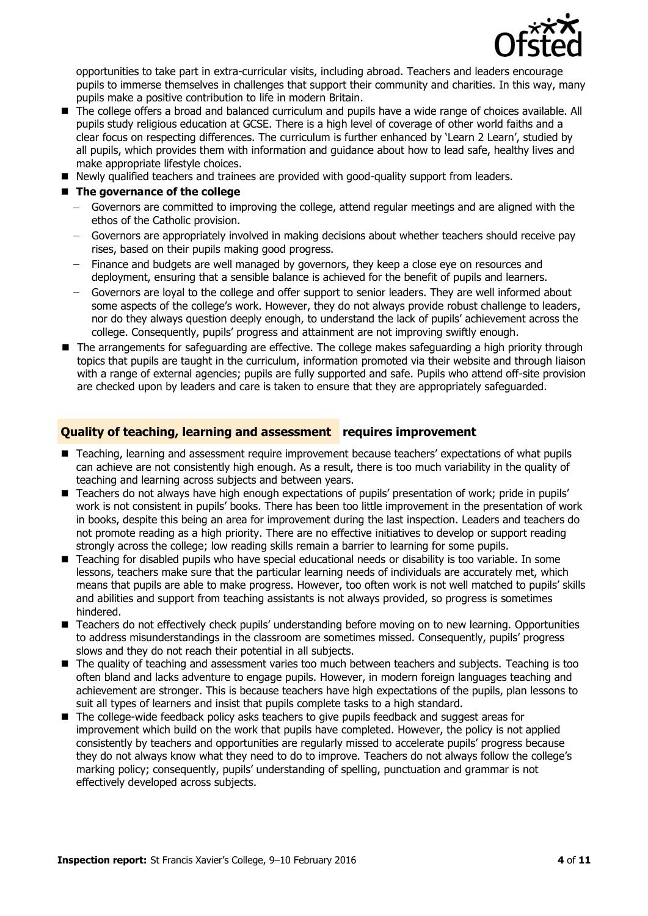

opportunities to take part in extra-curricular visits, including abroad. Teachers and leaders encourage pupils to immerse themselves in challenges that support their community and charities. In this way, many pupils make a positive contribution to life in modern Britain.

- The college offers a broad and balanced curriculum and pupils have a wide range of choices available. All pupils study religious education at GCSE. There is a high level of coverage of other world faiths and a clear focus on respecting differences. The curriculum is further enhanced by 'Learn 2 Learn', studied by all pupils, which provides them with information and guidance about how to lead safe, healthy lives and make appropriate lifestyle choices.
- Newly qualified teachers and trainees are provided with good-quality support from leaders.

#### ■ The governance of the college

- Governors are committed to improving the college, attend regular meetings and are aligned with the ethos of the Catholic provision.
- Governors are appropriately involved in making decisions about whether teachers should receive pay rises, based on their pupils making good progress.
- Finance and budgets are well managed by governors, they keep a close eye on resources and deployment, ensuring that a sensible balance is achieved for the benefit of pupils and learners.
- Governors are loyal to the college and offer support to senior leaders. They are well informed about some aspects of the college's work. However, they do not always provide robust challenge to leaders, nor do they always question deeply enough, to understand the lack of pupils' achievement across the college. Consequently, pupils' progress and attainment are not improving swiftly enough.
- The arrangements for safeguarding are effective. The college makes safeguarding a high priority through topics that pupils are taught in the curriculum, information promoted via their website and through liaison with a range of external agencies; pupils are fully supported and safe. Pupils who attend off-site provision are checked upon by leaders and care is taken to ensure that they are appropriately safeguarded.

#### **Quality of teaching, learning and assessment requires improvement**

- Teaching, learning and assessment require improvement because teachers' expectations of what pupils can achieve are not consistently high enough. As a result, there is too much variability in the quality of teaching and learning across subjects and between years.
- Teachers do not always have high enough expectations of pupils' presentation of work; pride in pupils' work is not consistent in pupils' books. There has been too little improvement in the presentation of work in books, despite this being an area for improvement during the last inspection. Leaders and teachers do not promote reading as a high priority. There are no effective initiatives to develop or support reading strongly across the college; low reading skills remain a barrier to learning for some pupils.
- Teaching for disabled pupils who have special educational needs or disability is too variable. In some lessons, teachers make sure that the particular learning needs of individuals are accurately met, which means that pupils are able to make progress. However, too often work is not well matched to pupils' skills and abilities and support from teaching assistants is not always provided, so progress is sometimes hindered.
- Teachers do not effectively check pupils' understanding before moving on to new learning. Opportunities to address misunderstandings in the classroom are sometimes missed. Consequently, pupils' progress slows and they do not reach their potential in all subjects.
- The quality of teaching and assessment varies too much between teachers and subjects. Teaching is too often bland and lacks adventure to engage pupils. However, in modern foreign languages teaching and achievement are stronger. This is because teachers have high expectations of the pupils, plan lessons to suit all types of learners and insist that pupils complete tasks to a high standard.
- The college-wide feedback policy asks teachers to give pupils feedback and suggest areas for improvement which build on the work that pupils have completed. However, the policy is not applied consistently by teachers and opportunities are regularly missed to accelerate pupils' progress because they do not always know what they need to do to improve. Teachers do not always follow the college's marking policy; consequently, pupils' understanding of spelling, punctuation and grammar is not effectively developed across subjects.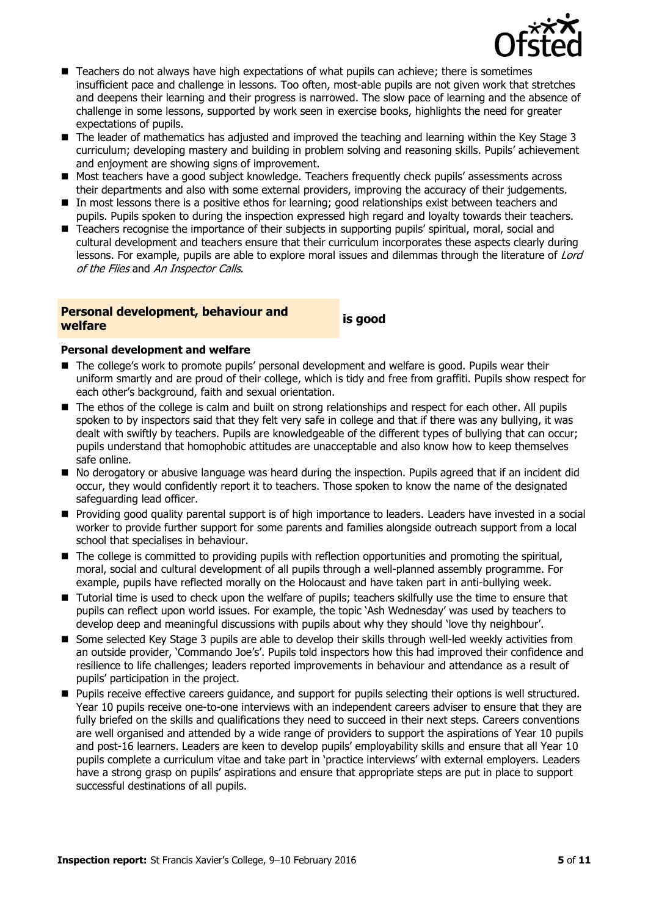

- Teachers do not always have high expectations of what pupils can achieve; there is sometimes insufficient pace and challenge in lessons. Too often, most-able pupils are not given work that stretches and deepens their learning and their progress is narrowed. The slow pace of learning and the absence of challenge in some lessons, supported by work seen in exercise books, highlights the need for greater expectations of pupils.
- The leader of mathematics has adjusted and improved the teaching and learning within the Key Stage 3 curriculum; developing mastery and building in problem solving and reasoning skills. Pupils' achievement and enjoyment are showing signs of improvement.
- Most teachers have a good subject knowledge. Teachers frequently check pupils' assessments across their departments and also with some external providers, improving the accuracy of their judgements.
- In most lessons there is a positive ethos for learning; good relationships exist between teachers and pupils. Pupils spoken to during the inspection expressed high regard and loyalty towards their teachers.
- **Teachers recognise the importance of their subjects in supporting pupils' spiritual, moral, social and** cultural development and teachers ensure that their curriculum incorporates these aspects clearly during lessons. For example, pupils are able to explore moral issues and dilemmas through the literature of Lord of the Flies and An Inspector Calls.

# **Personal development, behaviour and welfare is good**

#### **Personal development and welfare**

- The college's work to promote pupils' personal development and welfare is good. Pupils wear their uniform smartly and are proud of their college, which is tidy and free from graffiti. Pupils show respect for each other's background, faith and sexual orientation.
- The ethos of the college is calm and built on strong relationships and respect for each other. All pupils spoken to by inspectors said that they felt very safe in college and that if there was any bullying, it was dealt with swiftly by teachers. Pupils are knowledgeable of the different types of bullying that can occur; pupils understand that homophobic attitudes are unacceptable and also know how to keep themselves safe online.
- No derogatory or abusive language was heard during the inspection. Pupils agreed that if an incident did occur, they would confidently report it to teachers. Those spoken to know the name of the designated safeguarding lead officer.
- Providing good quality parental support is of high importance to leaders. Leaders have invested in a social worker to provide further support for some parents and families alongside outreach support from a local school that specialises in behaviour.
- The college is committed to providing pupils with reflection opportunities and promoting the spiritual, moral, social and cultural development of all pupils through a well-planned assembly programme. For example, pupils have reflected morally on the Holocaust and have taken part in anti-bullying week.
- Tutorial time is used to check upon the welfare of pupils; teachers skilfully use the time to ensure that pupils can reflect upon world issues. For example, the topic 'Ash Wednesday' was used by teachers to develop deep and meaningful discussions with pupils about why they should 'love thy neighbour'.
- Some selected Key Stage 3 pupils are able to develop their skills through well-led weekly activities from an outside provider, 'Commando Joe's'. Pupils told inspectors how this had improved their confidence and resilience to life challenges; leaders reported improvements in behaviour and attendance as a result of pupils' participation in the project.
- **Pupils receive effective careers guidance, and support for pupils selecting their options is well structured.** Year 10 pupils receive one-to-one interviews with an independent careers adviser to ensure that they are fully briefed on the skills and qualifications they need to succeed in their next steps. Careers conventions are well organised and attended by a wide range of providers to support the aspirations of Year 10 pupils and post-16 learners. Leaders are keen to develop pupils' employability skills and ensure that all Year 10 pupils complete a curriculum vitae and take part in 'practice interviews' with external employers. Leaders have a strong grasp on pupils' aspirations and ensure that appropriate steps are put in place to support successful destinations of all pupils.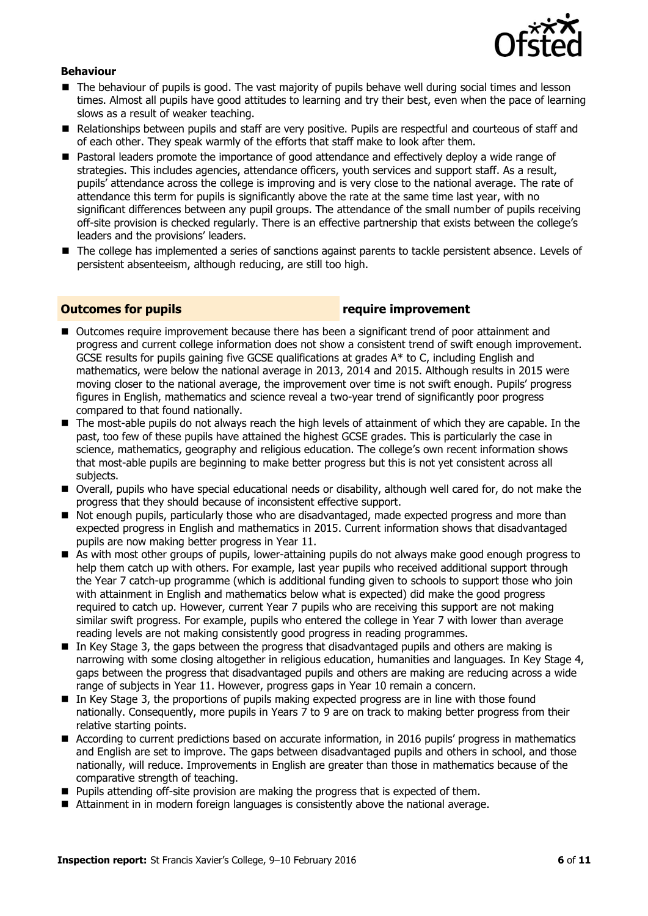

#### **Behaviour**

- **The behaviour of pupils is good. The vast majority of pupils behave well during social times and lesson** times. Almost all pupils have good attitudes to learning and try their best, even when the pace of learning slows as a result of weaker teaching.
- Relationships between pupils and staff are very positive. Pupils are respectful and courteous of staff and of each other. They speak warmly of the efforts that staff make to look after them.
- Pastoral leaders promote the importance of good attendance and effectively deploy a wide range of strategies. This includes agencies, attendance officers, youth services and support staff. As a result, pupils' attendance across the college is improving and is very close to the national average. The rate of attendance this term for pupils is significantly above the rate at the same time last year, with no significant differences between any pupil groups. The attendance of the small number of pupils receiving off-site provision is checked regularly. There is an effective partnership that exists between the college's leaders and the provisions' leaders.
- The college has implemented a series of sanctions against parents to tackle persistent absence. Levels of persistent absenteeism, although reducing, are still too high.

#### **Outcomes for pupils require improvement**

- Outcomes require improvement because there has been a significant trend of poor attainment and progress and current college information does not show a consistent trend of swift enough improvement. GCSE results for pupils gaining five GCSE qualifications at grades A\* to C, including English and mathematics, were below the national average in 2013, 2014 and 2015. Although results in 2015 were moving closer to the national average, the improvement over time is not swift enough. Pupils' progress figures in English, mathematics and science reveal a two-year trend of significantly poor progress compared to that found nationally.
- The most-able pupils do not always reach the high levels of attainment of which they are capable. In the past, too few of these pupils have attained the highest GCSE grades. This is particularly the case in science, mathematics, geography and religious education. The college's own recent information shows that most-able pupils are beginning to make better progress but this is not yet consistent across all subjects.
- Overall, pupils who have special educational needs or disability, although well cared for, do not make the progress that they should because of inconsistent effective support.
- $\blacksquare$  Not enough pupils, particularly those who are disadvantaged, made expected progress and more than expected progress in English and mathematics in 2015. Current information shows that disadvantaged pupils are now making better progress in Year 11.
- As with most other groups of pupils, lower-attaining pupils do not always make good enough progress to help them catch up with others. For example, last year pupils who received additional support through the Year 7 catch-up programme (which is additional funding given to schools to support those who join with attainment in English and mathematics below what is expected) did make the good progress required to catch up. However, current Year 7 pupils who are receiving this support are not making similar swift progress. For example, pupils who entered the college in Year 7 with lower than average reading levels are not making consistently good progress in reading programmes.
- In Key Stage 3, the gaps between the progress that disadvantaged pupils and others are making is narrowing with some closing altogether in religious education, humanities and languages. In Key Stage 4, gaps between the progress that disadvantaged pupils and others are making are reducing across a wide range of subjects in Year 11. However, progress gaps in Year 10 remain a concern.
- In Key Stage 3, the proportions of pupils making expected progress are in line with those found nationally. Consequently, more pupils in Years 7 to 9 are on track to making better progress from their relative starting points.
- According to current predictions based on accurate information, in 2016 pupils' progress in mathematics and English are set to improve. The gaps between disadvantaged pupils and others in school, and those nationally, will reduce. Improvements in English are greater than those in mathematics because of the comparative strength of teaching.
- **Pupils attending off-site provision are making the progress that is expected of them.**
- Attainment in in modern foreign languages is consistently above the national average.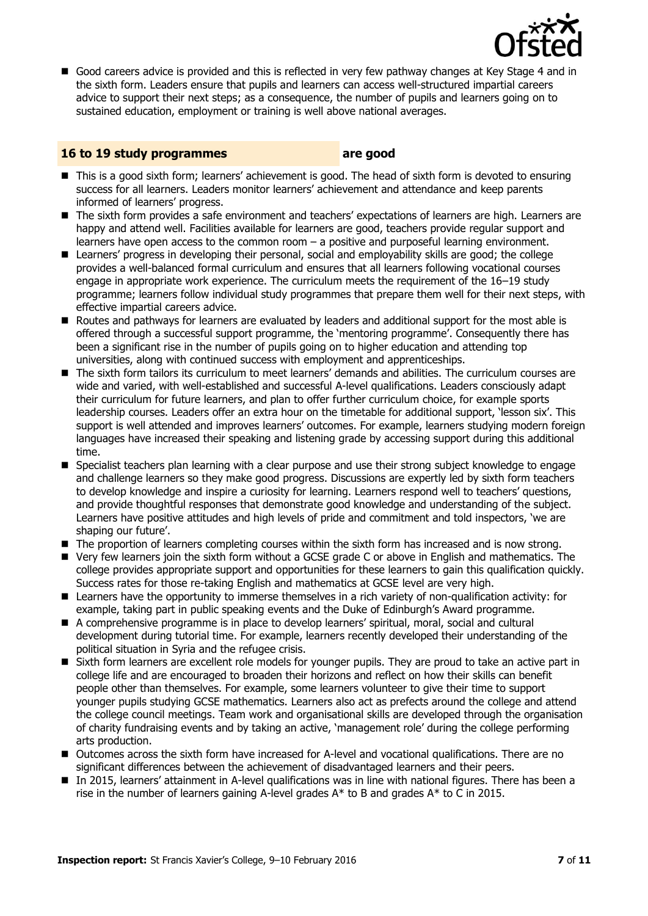

Good careers advice is provided and this is reflected in very few pathway changes at Key Stage 4 and in the sixth form. Leaders ensure that pupils and learners can access well-structured impartial careers advice to support their next steps; as a consequence, the number of pupils and learners going on to sustained education, employment or training is well above national averages.

#### **16 to 19 study programmes are good**

- This is a good sixth form; learners' achievement is good. The head of sixth form is devoted to ensuring success for all learners. Leaders monitor learners' achievement and attendance and keep parents informed of learners' progress.
- The sixth form provides a safe environment and teachers' expectations of learners are high. Learners are happy and attend well. Facilities available for learners are good, teachers provide regular support and learners have open access to the common room – a positive and purposeful learning environment.
- Learners' progress in developing their personal, social and employability skills are good; the college provides a well-balanced formal curriculum and ensures that all learners following vocational courses engage in appropriate work experience. The curriculum meets the requirement of the 16–19 study programme; learners follow individual study programmes that prepare them well for their next steps, with effective impartial careers advice.
- **E** Routes and pathways for learners are evaluated by leaders and additional support for the most able is offered through a successful support programme, the 'mentoring programme'. Consequently there has been a significant rise in the number of pupils going on to higher education and attending top universities, along with continued success with employment and apprenticeships.
- The sixth form tailors its curriculum to meet learners' demands and abilities. The curriculum courses are wide and varied, with well-established and successful A-level qualifications. Leaders consciously adapt their curriculum for future learners, and plan to offer further curriculum choice, for example sports leadership courses. Leaders offer an extra hour on the timetable for additional support, 'lesson six'. This support is well attended and improves learners' outcomes. For example, learners studying modern foreign languages have increased their speaking and listening grade by accessing support during this additional time.
- **Specialist teachers plan learning with a clear purpose and use their strong subject knowledge to engage** and challenge learners so they make good progress. Discussions are expertly led by sixth form teachers to develop knowledge and inspire a curiosity for learning. Learners respond well to teachers' questions, and provide thoughtful responses that demonstrate good knowledge and understanding of the subject. Learners have positive attitudes and high levels of pride and commitment and told inspectors, 'we are shaping our future'.
- The proportion of learners completing courses within the sixth form has increased and is now strong.
- Very few learners join the sixth form without a GCSE grade C or above in English and mathematics. The college provides appropriate support and opportunities for these learners to gain this qualification quickly. Success rates for those re-taking English and mathematics at GCSE level are very high.
- Learners have the opportunity to immerse themselves in a rich variety of non-qualification activity: for example, taking part in public speaking events and the Duke of Edinburgh's Award programme.
- A comprehensive programme is in place to develop learners' spiritual, moral, social and cultural development during tutorial time. For example, learners recently developed their understanding of the political situation in Syria and the refugee crisis.
- Sixth form learners are excellent role models for younger pupils. They are proud to take an active part in college life and are encouraged to broaden their horizons and reflect on how their skills can benefit people other than themselves. For example, some learners volunteer to give their time to support younger pupils studying GCSE mathematics. Learners also act as prefects around the college and attend the college council meetings. Team work and organisational skills are developed through the organisation of charity fundraising events and by taking an active, 'management role' during the college performing arts production.
- Outcomes across the sixth form have increased for A-level and vocational qualifications. There are no significant differences between the achievement of disadvantaged learners and their peers.
- In 2015, learners' attainment in A-level qualifications was in line with national figures. There has been a rise in the number of learners gaining A-level grades  $A^*$  to B and grades  $A^*$  to C in 2015.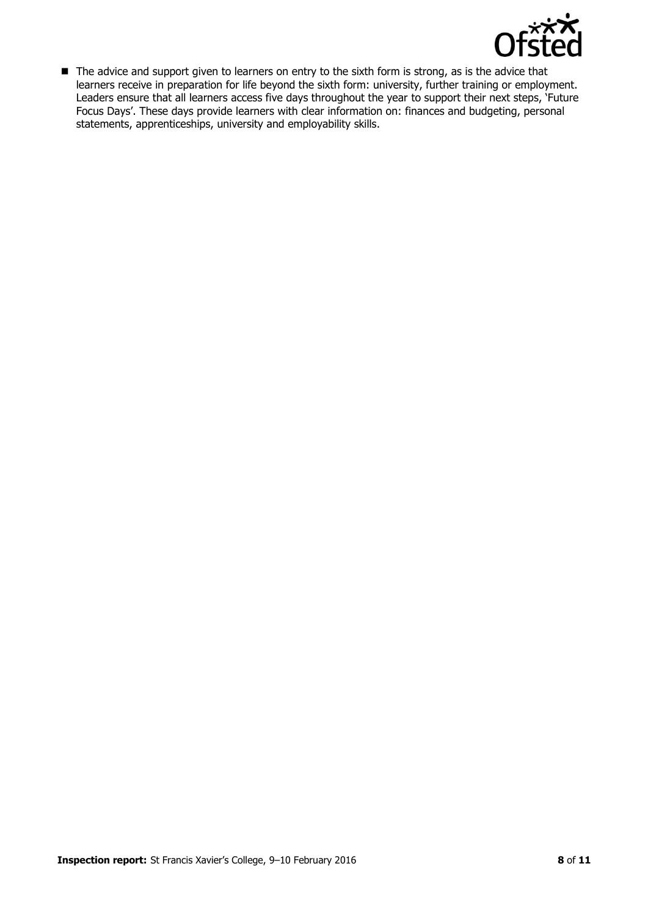

■ The advice and support given to learners on entry to the sixth form is strong, as is the advice that learners receive in preparation for life beyond the sixth form: university, further training or employment. Leaders ensure that all learners access five days throughout the year to support their next steps, 'Future Focus Days'. These days provide learners with clear information on: finances and budgeting, personal statements, apprenticeships, university and employability skills.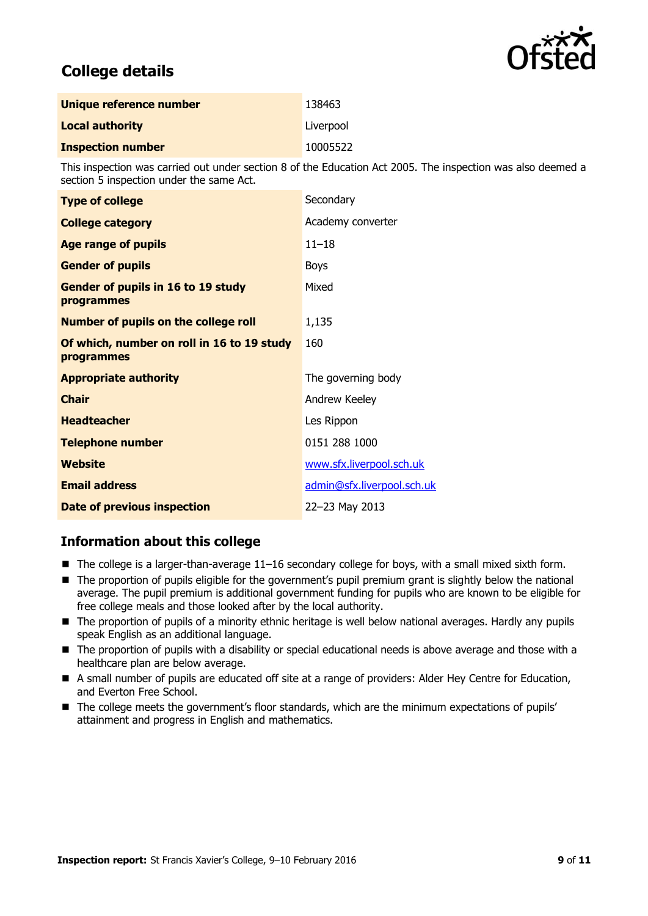

## **College details**

| Unique reference number  | 138463    |
|--------------------------|-----------|
| <b>Local authority</b>   | Liverpool |
| <b>Inspection number</b> | 10005522  |

This inspection was carried out under section 8 of the Education Act 2005. The inspection was also deemed a section 5 inspection under the same Act.

| <b>Type of college</b>                                   | Secondary                  |
|----------------------------------------------------------|----------------------------|
| <b>College category</b>                                  | Academy converter          |
| <b>Age range of pupils</b>                               | $11 - 18$                  |
| <b>Gender of pupils</b>                                  | <b>Boys</b>                |
| Gender of pupils in 16 to 19 study<br>programmes         | Mixed                      |
| <b>Number of pupils on the college roll</b>              | 1,135                      |
| Of which, number on roll in 16 to 19 study<br>programmes | 160                        |
| <b>Appropriate authority</b>                             | The governing body         |
| <b>Chair</b>                                             | Andrew Keeley              |
| <b>Headteacher</b>                                       | Les Rippon                 |
| <b>Telephone number</b>                                  | 0151 288 1000              |
| <b>Website</b>                                           | www.sfx.liverpool.sch.uk   |
| <b>Email address</b>                                     | admin@sfx.liverpool.sch.uk |
| <b>Date of previous inspection</b>                       | 22-23 May 2013             |

### **Information about this college**

- The college is a larger-than-average 11–16 secondary college for boys, with a small mixed sixth form.
- The proportion of pupils eligible for the government's pupil premium grant is slightly below the national average. The pupil premium is additional government funding for pupils who are known to be eligible for free college meals and those looked after by the local authority.
- The proportion of pupils of a minority ethnic heritage is well below national averages. Hardly any pupils speak English as an additional language.
- The proportion of pupils with a disability or special educational needs is above average and those with a healthcare plan are below average.
- A small number of pupils are educated off site at a range of providers: Alder Hey Centre for Education, and Everton Free School.
- The college meets the government's floor standards, which are the minimum expectations of pupils' attainment and progress in English and mathematics.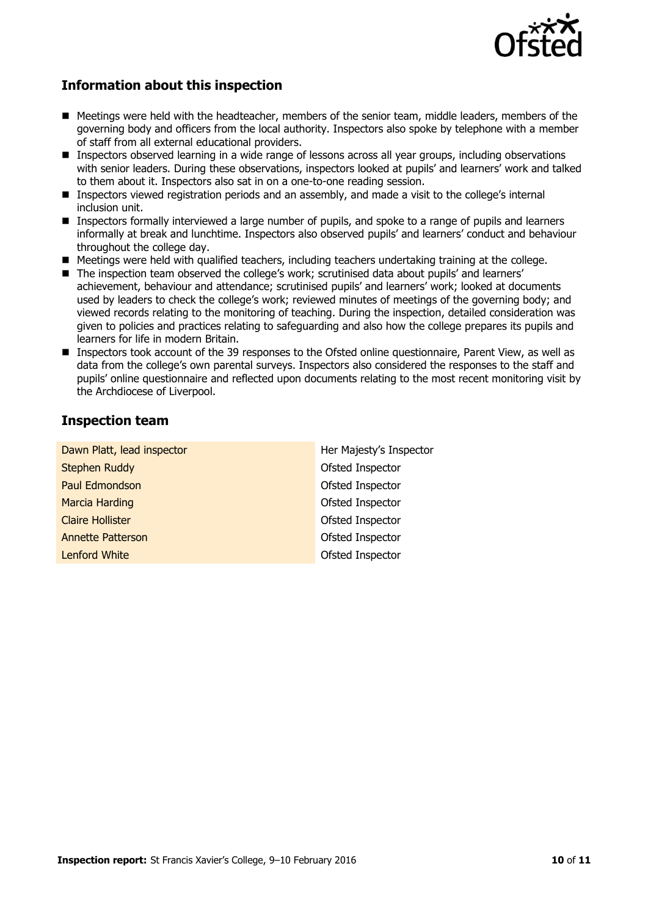

### **Information about this inspection**

- Meetings were held with the headteacher, members of the senior team, middle leaders, members of the governing body and officers from the local authority. Inspectors also spoke by telephone with a member of staff from all external educational providers.
- **Inspectors observed learning in a wide range of lessons across all year groups, including observations** with senior leaders. During these observations, inspectors looked at pupils' and learners' work and talked to them about it. Inspectors also sat in on a one-to-one reading session.
- Inspectors viewed registration periods and an assembly, and made a visit to the college's internal inclusion unit.
- **Inspectors formally interviewed a large number of pupils, and spoke to a range of pupils and learners** informally at break and lunchtime. Inspectors also observed pupils' and learners' conduct and behaviour throughout the college day.
- Meetings were held with qualified teachers, including teachers undertaking training at the college.
- The inspection team observed the college's work; scrutinised data about pupils' and learners' achievement, behaviour and attendance; scrutinised pupils' and learners' work; looked at documents used by leaders to check the college's work; reviewed minutes of meetings of the governing body; and viewed records relating to the monitoring of teaching. During the inspection, detailed consideration was given to policies and practices relating to safeguarding and also how the college prepares its pupils and learners for life in modern Britain.
- Inspectors took account of the 39 responses to the Ofsted online questionnaire, Parent View, as well as data from the college's own parental surveys. Inspectors also considered the responses to the staff and pupils' online questionnaire and reflected upon documents relating to the most recent monitoring visit by the Archdiocese of Liverpool.

### **Inspection team**

| Dawn Platt, lead inspector | Her Majesty's Inspector |
|----------------------------|-------------------------|
| <b>Stephen Ruddy</b>       | Ofsted Inspector        |
| Paul Edmondson             | Ofsted Inspector        |
| <b>Marcia Harding</b>      | Ofsted Inspector        |
| <b>Claire Hollister</b>    | Ofsted Inspector        |
| <b>Annette Patterson</b>   | Ofsted Inspector        |
| <b>Lenford White</b>       | Ofsted Inspector        |